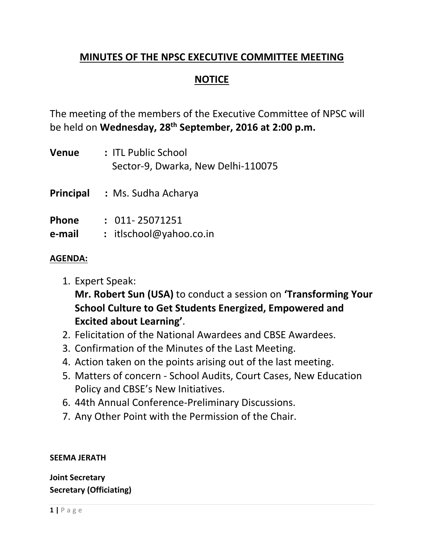### **MINUTES OF THE NPSC EXECUTIVE COMMITTEE MEETING**

### **NOTICE**

The meeting of the members of the Executive Committee of NPSC will be held on **Wednesday, 28th September, 2016 at 2:00 p.m.** 

| <b>Venue</b>           | : ITL Public School<br>Sector-9, Dwarka, New Delhi-110075 |
|------------------------|-----------------------------------------------------------|
| Principal              | : Ms. Sudha Acharya                                       |
| <b>Phone</b><br>e-mail | $: 011 - 25071251$<br>: itlschool@yahoo.co.in             |

### **AGENDA:**

1. Expert Speak:

**Mr. Robert Sun (USA)** to conduct a session on **'Transforming Your School Culture to Get Students Energized, Empowered and Excited about Learning'**.

- 2. Felicitation of the National Awardees and CBSE Awardees.
- 3. Confirmation of the Minutes of the Last Meeting.
- 4. Action taken on the points arising out of the last meeting.
- 5. Matters of concern School Audits, Court Cases, New Education Policy and CBSE's New Initiatives.
- 6. 44th Annual Conference-Preliminary Discussions.
- 7. Any Other Point with the Permission of the Chair.

#### **SEEMA JERATH**

**Joint Secretary Secretary (Officiating)**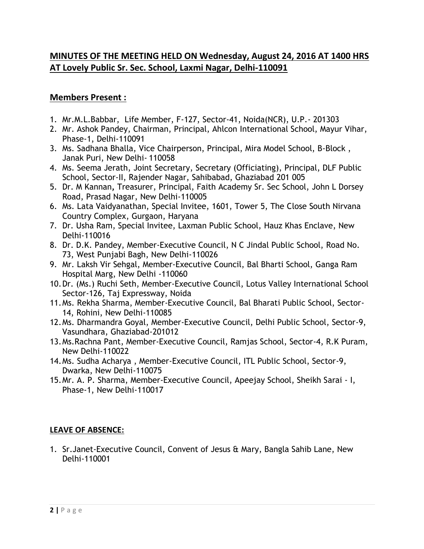### **MINUTES OF THE MEETING HELD ON Wednesday, August 24, 2016 AT 1400 HRS AT Lovely Public Sr. Sec. School, Laxmi Nagar, Delhi-110091**

#### **Members Present :**

- 1. Mr.M.L.Babbar, Life Member, F-127, Sector-41, Noida(NCR), U.P.- 201303
- 2. Mr. Ashok Pandey, Chairman, Principal, Ahlcon International School, Mayur Vihar, Phase-1, Delhi-110091
- 3. Ms. Sadhana Bhalla, Vice Chairperson, Principal, Mira Model School, B-Block , Janak Puri, New Delhi- 110058
- 4. Ms. Seema Jerath, Joint Secretary, Secretary (Officiating), Principal, DLF Public School, Sector-II, Rajender Nagar, Sahibabad, Ghaziabad 201 005
- 5. Dr. M Kannan**,** Treasurer, Principal, Faith Academy Sr. Sec School, John L Dorsey Road, Prasad Nagar, New Delhi-110005
- 6. Ms. Lata Vaidyanathan, Special Invitee, 1601, Tower 5, The Close South Nirvana Country Complex, Gurgaon, Haryana
- 7. Dr. Usha Ram, Special Invitee, Laxman Public School, Hauz Khas Enclave, New Delhi-110016
- 8. Dr. D.K. Pandey, Member-Executive Council, N C Jindal Public School, Road No. 73, West Punjabi Bagh, New Delhi-110026
- 9. Mr. Laksh Vir Sehgal, Member-Executive Council, Bal Bharti School, Ganga Ram Hospital Marg, New Delhi -110060
- 10.Dr. (Ms.) Ruchi Seth, Member-Executive Council, Lotus Valley International School Sector-126, Taj Expressway, Noida
- 11.Ms. Rekha Sharma, Member-Executive Council, Bal Bharati Public School, Sector-14, Rohini, New Delhi-110085
- 12.Ms. Dharmandra Goyal, Member-Executive Council, Delhi Public School, Sector-9, Vasundhara, Ghaziabad-201012
- 13.Ms.Rachna Pant, Member-Executive Council, Ramjas School, Sector-4, R.K Puram, New Delhi-110022
- 14.Ms. Sudha Acharya , Member-Executive Council, ITL Public School, Sector-9, Dwarka, New Delhi-110075
- 15.Mr. A. P. Sharma, Member-Executive Council, Apeejay School, Sheikh Sarai I, Phase-1, New Delhi-110017

#### **LEAVE OF ABSENCE:**

1. Sr.Janet-Executive Council, Convent of Jesus & Mary, Bangla Sahib Lane, New Delhi-110001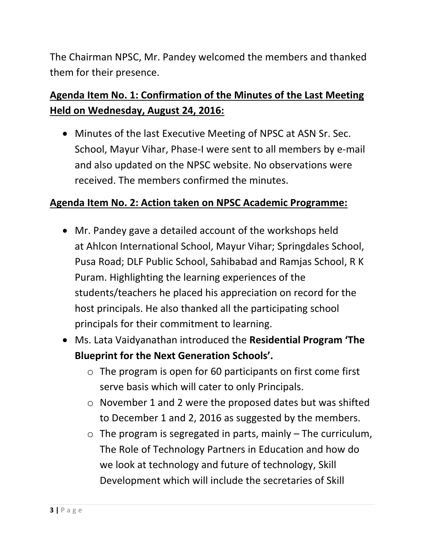The Chairman NPSC, Mr. Pandey welcomed the members and thanked them for their presence.

# **Agenda Item No. 1: Confirmation of the Minutes of the Last Meeting Held on Wednesday, August 24, 2016:**

 Minutes of the last Executive Meeting of NPSC at ASN Sr. Sec. School, Mayur Vihar, Phase-I were sent to all members by e-mail and also updated on the NPSC website. No observations were received. The members confirmed the minutes.

## **Agenda Item No. 2: Action taken on NPSC Academic Programme:**

- Mr. Pandey gave a detailed account of the workshops held at Ahlcon International School, Mayur Vihar; Springdales School, Pusa Road; DLF Public School, Sahibabad and Ramjas School, R K Puram. Highlighting the learning experiences of the students/teachers he placed his appreciation on record for the host principals. He also thanked all the participating school principals for their commitment to learning.
- Ms. Lata Vaidyanathan introduced the **Residential Program 'The Blueprint for the Next Generation Schools'.**
	- o The program is open for 60 participants on first come first serve basis which will cater to only Principals.
	- o November 1 and 2 were the proposed dates but was shifted to December 1 and 2, 2016 as suggested by the members.
	- $\circ$  The program is segregated in parts, mainly  $-$  The curriculum, The Role of Technology Partners in Education and how do we look at technology and future of technology, Skill Development which will include the secretaries of Skill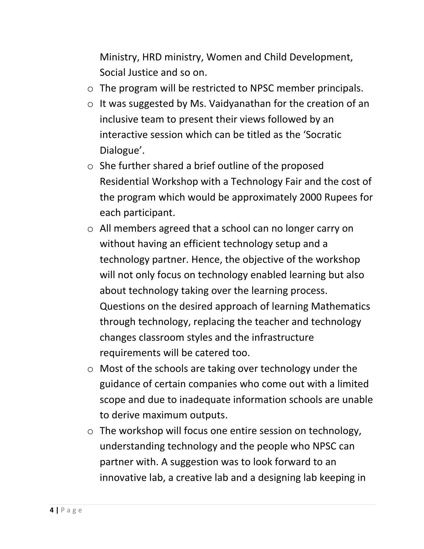Ministry, HRD ministry, Women and Child Development, Social Justice and so on.

- o The program will be restricted to NPSC member principals.
- o It was suggested by Ms. Vaidyanathan for the creation of an inclusive team to present their views followed by an interactive session which can be titled as the 'Socratic Dialogue'.
- o She further shared a brief outline of the proposed Residential Workshop with a Technology Fair and the cost of the program which would be approximately 2000 Rupees for each participant.
- o All members agreed that a school can no longer carry on without having an efficient technology setup and a technology partner. Hence, the objective of the workshop will not only focus on technology enabled learning but also about technology taking over the learning process. Questions on the desired approach of learning Mathematics through technology, replacing the teacher and technology changes classroom styles and the infrastructure requirements will be catered too.
- o Most of the schools are taking over technology under the guidance of certain companies who come out with a limited scope and due to inadequate information schools are unable to derive maximum outputs.
- o The workshop will focus one entire session on technology, understanding technology and the people who NPSC can partner with. A suggestion was to look forward to an innovative lab, a creative lab and a designing lab keeping in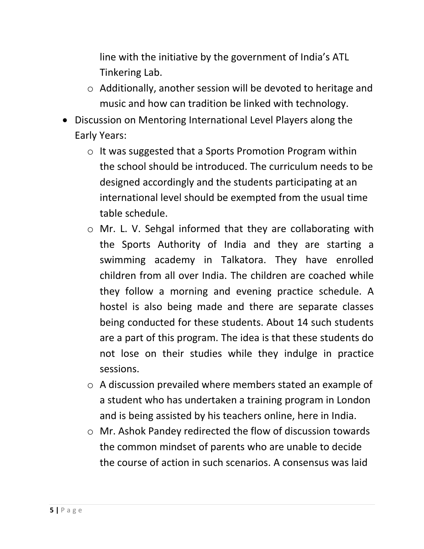line with the initiative by the government of India's ATL Tinkering Lab.

- o Additionally, another session will be devoted to heritage and music and how can tradition be linked with technology.
- Discussion on Mentoring International Level Players along the Early Years:
	- o It was suggested that a Sports Promotion Program within the school should be introduced. The curriculum needs to be designed accordingly and the students participating at an international level should be exempted from the usual time table schedule.
	- o Mr. L. V. Sehgal informed that they are collaborating with the Sports Authority of India and they are starting a swimming academy in Talkatora. They have enrolled children from all over India. The children are coached while they follow a morning and evening practice schedule. A hostel is also being made and there are separate classes being conducted for these students. About 14 such students are a part of this program. The idea is that these students do not lose on their studies while they indulge in practice sessions.
	- o A discussion prevailed where members stated an example of a student who has undertaken a training program in London and is being assisted by his teachers online, here in India.
	- o Mr. Ashok Pandey redirected the flow of discussion towards the common mindset of parents who are unable to decide the course of action in such scenarios. A consensus was laid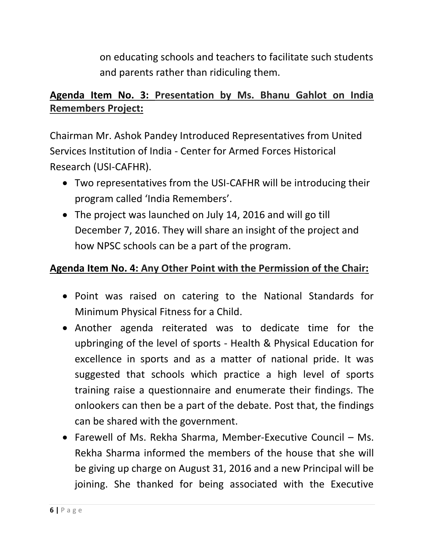on educating schools and teachers to facilitate such students and parents rather than ridiculing them.

# **Agenda Item No. 3: Presentation by Ms. Bhanu Gahlot on India Remembers Project:**

Chairman Mr. Ashok Pandey Introduced Representatives from United Services Institution of India - Center for Armed Forces Historical Research (USI-CAFHR).

- Two representatives from the USI-CAFHR will be introducing their program called 'India Remembers'.
- The project was launched on July 14, 2016 and will go till December 7, 2016. They will share an insight of the project and how NPSC schools can be a part of the program.

## **Agenda Item No. 4: Any Other Point with the Permission of the Chair:**

- Point was raised on catering to the National Standards for Minimum Physical Fitness for a Child.
- Another agenda reiterated was to dedicate time for the upbringing of the level of sports - Health & Physical Education for excellence in sports and as a matter of national pride. It was suggested that schools which practice a high level of sports training raise a questionnaire and enumerate their findings. The onlookers can then be a part of the debate. Post that, the findings can be shared with the government.
- Farewell of Ms. Rekha Sharma, Member-Executive Council Ms. Rekha Sharma informed the members of the house that she will be giving up charge on August 31, 2016 and a new Principal will be joining. She thanked for being associated with the Executive